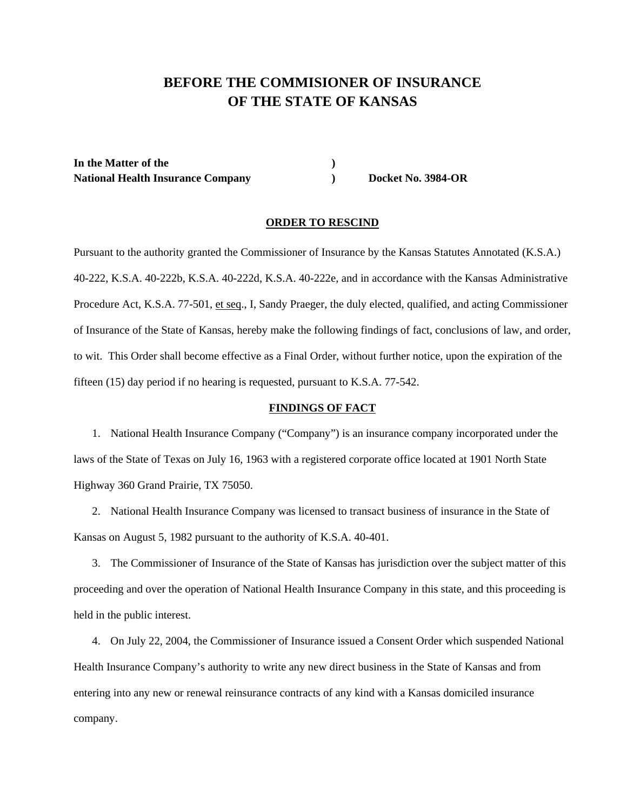# **BEFORE THE COMMISIONER OF INSURANCE OF THE STATE OF KANSAS**

**In the Matter of the )**  National Health Insurance Company **Docket No. 3984-OR** 

### **ORDER TO RESCIND**

Pursuant to the authority granted the Commissioner of Insurance by the Kansas Statutes Annotated (K.S.A.) 40-222, K.S.A. 40-222b, K.S.A. 40-222d, K.S.A. 40-222e, and in accordance with the Kansas Administrative Procedure Act, K.S.A. 77-501, et seq., I, Sandy Praeger, the duly elected, qualified, and acting Commissioner of Insurance of the State of Kansas, hereby make the following findings of fact, conclusions of law, and order, to wit. This Order shall become effective as a Final Order, without further notice, upon the expiration of the fifteen (15) day period if no hearing is requested, pursuant to K.S.A. 77-542.

#### **FINDINGS OF FACT**

1. National Health Insurance Company ("Company") is an insurance company incorporated under the laws of the State of Texas on July 16, 1963 with a registered corporate office located at 1901 North State Highway 360 Grand Prairie, TX 75050.

2. National Health Insurance Company was licensed to transact business of insurance in the State of Kansas on August 5, 1982 pursuant to the authority of K.S.A. 40-401.

3. The Commissioner of Insurance of the State of Kansas has jurisdiction over the subject matter of this proceeding and over the operation of National Health Insurance Company in this state, and this proceeding is held in the public interest.

4. On July 22, 2004, the Commissioner of Insurance issued a Consent Order which suspended National Health Insurance Company's authority to write any new direct business in the State of Kansas and from entering into any new or renewal reinsurance contracts of any kind with a Kansas domiciled insurance company.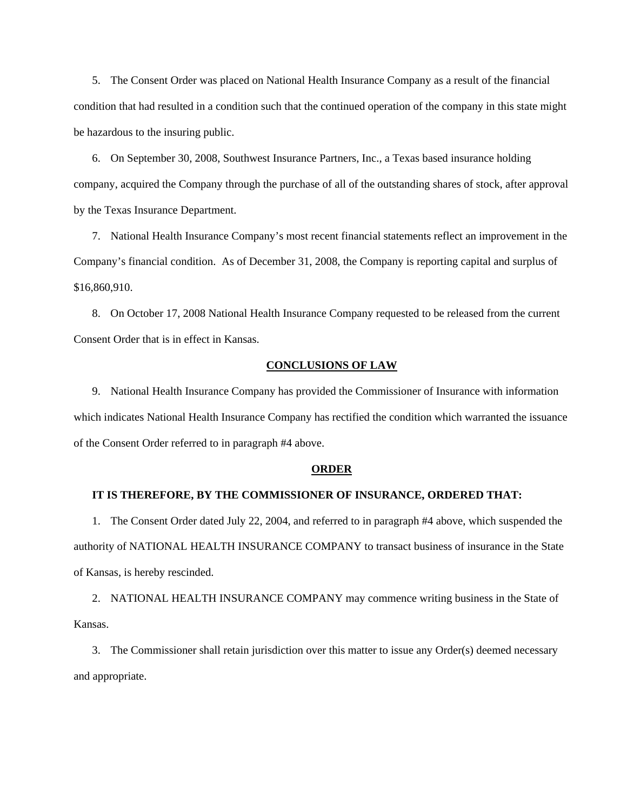5. The Consent Order was placed on National Health Insurance Company as a result of the financial condition that had resulted in a condition such that the continued operation of the company in this state might be hazardous to the insuring public.

6. On September 30, 2008, Southwest Insurance Partners, Inc., a Texas based insurance holding company, acquired the Company through the purchase of all of the outstanding shares of stock, after approval by the Texas Insurance Department.

7. National Health Insurance Company's most recent financial statements reflect an improvement in the Company's financial condition. As of December 31, 2008, the Company is reporting capital and surplus of \$16,860,910.

8. On October 17, 2008 National Health Insurance Company requested to be released from the current Consent Order that is in effect in Kansas.

# **CONCLUSIONS OF LAW**

9. National Health Insurance Company has provided the Commissioner of Insurance with information which indicates National Health Insurance Company has rectified the condition which warranted the issuance of the Consent Order referred to in paragraph #4 above.

#### **ORDER**

### **IT IS THEREFORE, BY THE COMMISSIONER OF INSURANCE, ORDERED THAT:**

1. The Consent Order dated July 22, 2004, and referred to in paragraph #4 above, which suspended the authority of NATIONAL HEALTH INSURANCE COMPANY to transact business of insurance in the State of Kansas, is hereby rescinded.

2. NATIONAL HEALTH INSURANCE COMPANY may commence writing business in the State of Kansas.

3. The Commissioner shall retain jurisdiction over this matter to issue any Order(s) deemed necessary and appropriate.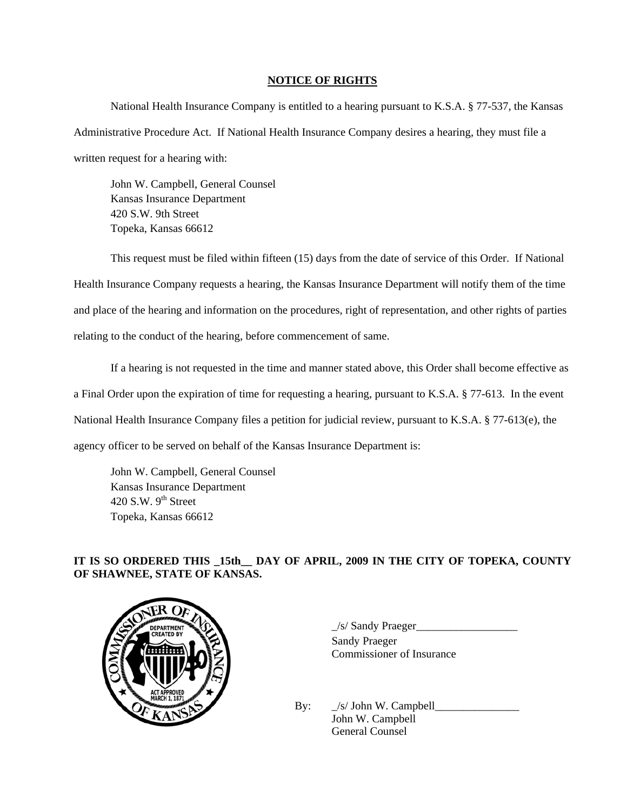## **NOTICE OF RIGHTS**

National Health Insurance Company is entitled to a hearing pursuant to K.S.A. § 77-537, the Kansas Administrative Procedure Act. If National Health Insurance Company desires a hearing, they must file a written request for a hearing with:

John W. Campbell, General Counsel Kansas Insurance Department 420 S.W. 9th Street Topeka, Kansas 66612

 This request must be filed within fifteen (15) days from the date of service of this Order. If National Health Insurance Company requests a hearing, the Kansas Insurance Department will notify them of the time and place of the hearing and information on the procedures, right of representation, and other rights of parties relating to the conduct of the hearing, before commencement of same.

 If a hearing is not requested in the time and manner stated above, this Order shall become effective as a Final Order upon the expiration of time for requesting a hearing, pursuant to K.S.A. § 77-613. In the event National Health Insurance Company files a petition for judicial review, pursuant to K.S.A. § 77-613(e), the agency officer to be served on behalf of the Kansas Insurance Department is:

 John W. Campbell, General Counsel Kansas Insurance Department 420 S.W.  $9<sup>th</sup>$  Street Topeka, Kansas 66612

# **IT IS SO ORDERED THIS \_15th\_\_ DAY OF APRIL, 2009 IN THE CITY OF TOPEKA, COUNTY OF SHAWNEE, STATE OF KANSAS.**



PARTMENT WE PARTMENT WAS SAMED FOR STATED BY Sandy Praeger Commissioner of Insurance

> By:  $\angle$ s/ John W. Campbell John W. Campbell General Counsel